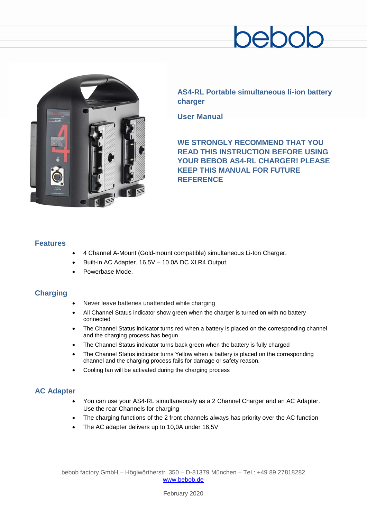# ebc



**AS4-RL Portable simultaneous li-ion battery charger**

**User Manual**

**WE STRONGLY RECOMMEND THAT YOU READ THIS INSTRUCTION BEFORE USING YOUR BEBOB AS4-RL CHARGER! PLEASE KEEP THIS MANUAL FOR FUTURE REFERENCE**

#### **Features**

- 4 Channel A-Mount (Gold-mount compatible) simultaneous Li-Ion Charger.
- Built-in AC Adapter. 16,5V 10.0A DC XLR4 Output
- Powerbase Mode.

## **Charging**

- Never leave batteries unattended while charging
- All Channel Status indicator show green when the charger is turned on with no battery connected
- The Channel Status indicator turns red when a battery is placed on the corresponding channel and the charging process has begun
- The Channel Status indicator turns back green when the battery is fully charged
- The Channel Status indicator turns Yellow when a battery is placed on the corresponding channel and the charging process fails for damage or safety reason.
- Cooling fan will be activated during the charging process

## **AC Adapter**

- You can use your AS4-RL simultaneously as a 2 Channel Charger and an AC Adapter. Use the rear Channels for charging
- The charging functions of the 2 front channels always has priority over the AC function
- The AC adapter delivers up to 10,0A under 16,5V

bebob factory GmbH – Höglwörtherstr. 350 – D-81379 München – Tel.: +49 89 27818282 [www.bebob.de](http://www.bebob.de/)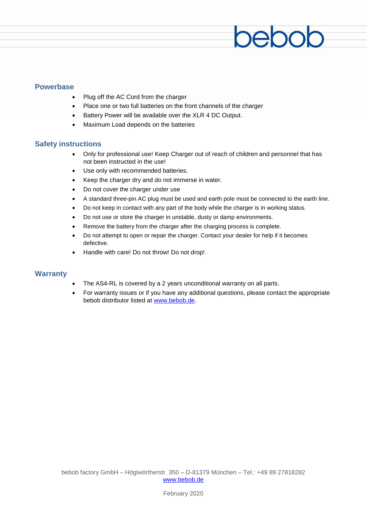#### **Powerbase**

- Plug off the AC Cord from the charger
- Place one or two full batteries on the front channels of the charger
- Battery Power will be available over the XLR 4 DC Output.
- Maximum Load depends on the batteries

#### **Safety instructions**

• Only for professional use! Keep Charger out of reach of children and personnel that has not been instructed in the use!

pebot

- Use only with recommended batteries.
- Keep the charger dry and do not immerse in water.
- Do not cover the charger under use
- A standard three-pin AC plug must be used and earth pole must be connected to the earth line.
- Do not keep in contact with any part of the body while the charger is in working status.
- Do not use or store the charger in unstable, dusty or damp environments.
- Remove the battery from the charger after the charging process is complete.
- Do not attempt to open or repair the charger. Contact your dealer for help if it becomes defective.
- Handle with care! Do not throw! Do not drop!

#### **Warranty**

- The AS4-RL is covered by a 2 years unconditional warranty on all parts.
- For warranty issues or if you have any additional questions, please contact the appropriate bebob distributor listed at [www.bebob.de.](http://www.bebob.de/)